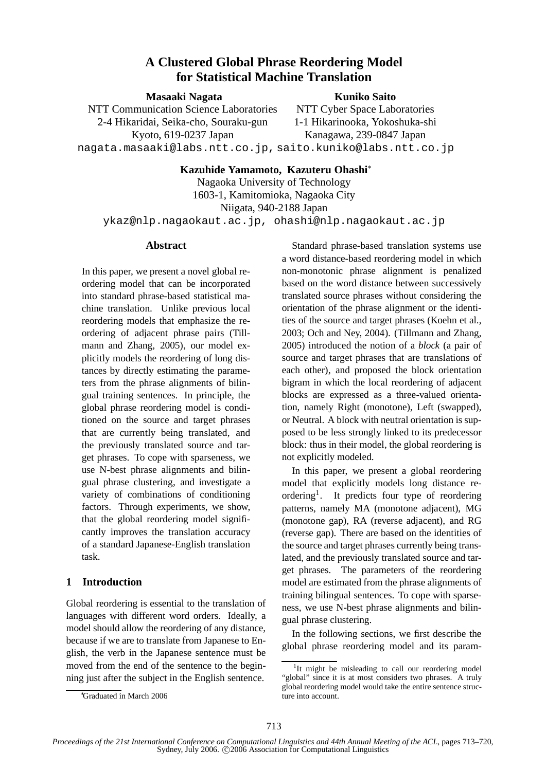# **A Clustered Global Phrase Reordering Model for Statistical Machine Translation**

**Masaaki Nagata**

# **Kuniko Saito**

NTT Communication Science Laboratories 2-4 Hikaridai, Seika-cho, Souraku-gun Kyoto, 619-0237 Japan nagata.masaaki@labs.ntt.co.jp, saito.kuniko@labs.ntt.co.jp

NTT Cyber Space Laboratories 1-1 Hikarinooka, Yokoshuka-shi Kanagawa, 239-0847 Japan

**Kazuhide Yamamoto, Kazuteru Ohashi**

Nagaoka University of Technology 1603-1, Kamitomioka, Nagaoka City Niigata, 940-2188 Japan ykaz@nlp.nagaokaut.ac.jp, ohashi@nlp.nagaokaut.ac.jp

### **Abstract**

In this paper, we present a novel global reordering model that can be incorporated into standard phrase-based statistical machine translation. Unlike previous local reordering models that emphasize the reordering of adjacent phrase pairs (Tillmann and Zhang, 2005), our model explicitly models the reordering of long distances by directly estimating the parameters from the phrase alignments of bilingual training sentences. In principle, the global phrase reordering model is conditioned on the source and target phrases that are currently being translated, and the previously translated source and target phrases. To cope with sparseness, we use N-best phrase alignments and bilingual phrase clustering, and investigate a variety of combinations of conditioning factors. Through experiments, we show, that the global reordering model significantly improves the translation accuracy of a standard Japanese-English translation task.

# **1 Introduction**

Global reordering is essential to the translation of languages with different word orders. Ideally, a model should allow the reordering of any distance, because if we are to translate from Japanese to English, the verb in the Japanese sentence must be moved from the end of the sentence to the beginning just after the subject in the English sentence.

Standard phrase-based translation systems use a word distance-based reordering model in which non-monotonic phrase alignment is penalized based on the word distance between successively translated source phrases without considering the orientation of the phrase alignment or the identities of the source and target phrases (Koehn et al., 2003; Och and Ney, 2004). (Tillmann and Zhang, 2005) introduced the notion of a *block* (a pair of source and target phrases that are translations of each other), and proposed the block orientation bigram in which the local reordering of adjacent blocks are expressed as a three-valued orientation, namely Right (monotone), Left (swapped), or Neutral. A block with neutral orientation is supposed to be less strongly linked to its predecessor block: thus in their model, the global reordering is not explicitly modeled.

In this paper, we present a global reordering model that explicitly models long distance reordering<sup>1</sup>. It predicts four type of reordering patterns, namely MA (monotone adjacent), MG (monotone gap), RA (reverse adjacent), and RG (reverse gap). There are based on the identities of the source and target phrases currently being translated, and the previously translated source and target phrases. The parameters of the reordering model are estimated from the phrase alignments of training bilingual sentences. To cope with sparseness, we use N-best phrase alignments and bilingual phrase clustering.

In the following sections, we first describe the global phrase reordering model and its param-

Graduated in March 2006

<sup>&</sup>lt;sup>1</sup>It might be misleading to call our reordering model "global" since it is at most considers two phrases. A truly global reordering model would take the entire sentence structure into account.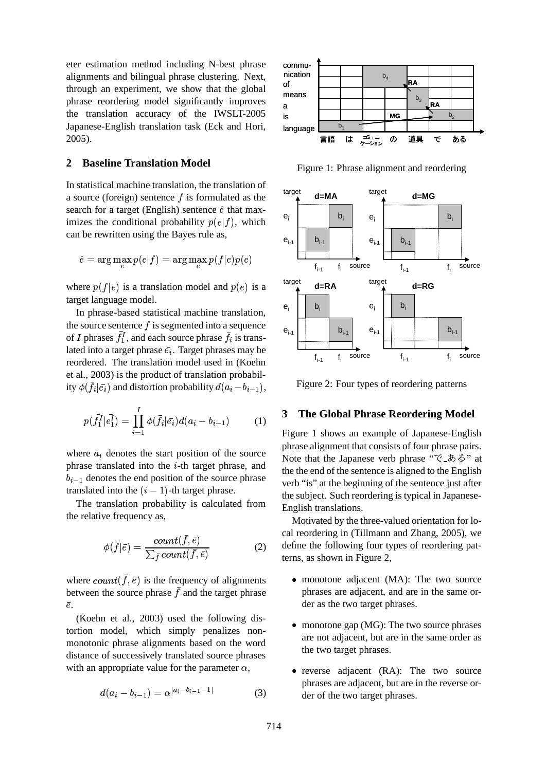eter estimation method including N-best phrase alignments and bilingual phrase clustering. Next, through an experiment, we show that the global phrase reordering model significantly improves the translation accuracy of the IWSLT-2005 Japanese-English translation task (Eck and Hori, 2005).

### **2 Baseline Translation Model**

In statistical machine translation, the translation of a source (foreign) sentence  $f$  is formulated as the search for a target (English) sentence  $\hat{e}$  that maximizes the conditional probability  $p(e|f)$ , which can be rewritten using the Bayes rule as,

$$
\hat{e} = \arg\max p(e|f) = \arg\max p(f|e)p(e)
$$

where  $p(f|e)$  is a translation model and  $p(e)$  is a target language model.

In phrase-based statistical machine translation, the source sentence  $f$  is segmented into a sequence of I phrases  $f_1^I$ , and each source phrase  $f_i$  is translated into a target phrase  $\bar{e_i}$ . Target phrases may be reordered. The translation model used in (Koehn et al., 2003) is the product of translation probability  $\phi(f_i|\bar{e_i})$  and distortion probability  $d(a_i-b_{i-1}),$ 

$$
p(\bar{f}_1^I | \bar{e}_1^I) = \prod_{i=1}^I \phi(\bar{f}_i | \bar{e}_i) d(a_i - b_{i-1}) \tag{1}
$$

where  $a_i$  denotes the start position of the source phrase translated into the  $i$ -th target phrase, and  $b_{i-1}$  denotes the end position of the source phrase translated into the  $(i - 1)$ -th target phrase.

The translation probability is calculated from the relative frequency as,

$$
\phi(\bar{f}|\bar{e}) = \frac{count(\bar{f}, \bar{e})}{\sum_{\bar{f}} count(\bar{f}, \bar{e})}
$$
(2)

where  $count(f, \bar{e})$  is the frequency of alignments between the source phrase  $f$  and the target phrase -.

(Koehn et al., 2003) used the following distortion model, which simply penalizes nonmonotonic phrase alignments based on the word distance of successively translated source phrases with an appropriate value for the parameter  $\alpha$ ,

$$
d(a_i - b_{i-1}) = \alpha^{|a_i - b_{i-1} - 1|} \tag{3}
$$



Figure 1: Phrase alignment and reordering



Figure 2: Four types of reordering patterns

#### **3 The Global Phrase Reordering Model**

Figure 1 shows an example of Japanese-English phrase alignment that consists of four phrase pairs. Note that the Japanese verb phrase " $\tilde{C}$ \_ $\tilde{D}$   $\tilde{\phi}$ " at the the end of the sentence is aligned to the English verb "is" at the beginning of the sentence just after the subject. Such reordering is typical in Japanese-English translations.

Motivated by the three-valued orientation for local reordering in (Tillmann and Zhang, 2005), we define the following four types of reordering patterns, as shown in Figure 2,

- monotone adjacent (MA): The two source phrases are adjacent, and are in the same order as the two target phrases.
- monotone gap (MG): The two source phrases are not adjacent, but are in the same order as the two target phrases.
- reverse adjacent (RA): The two source phrases are adjacent, but are in the reverse order of the two target phrases.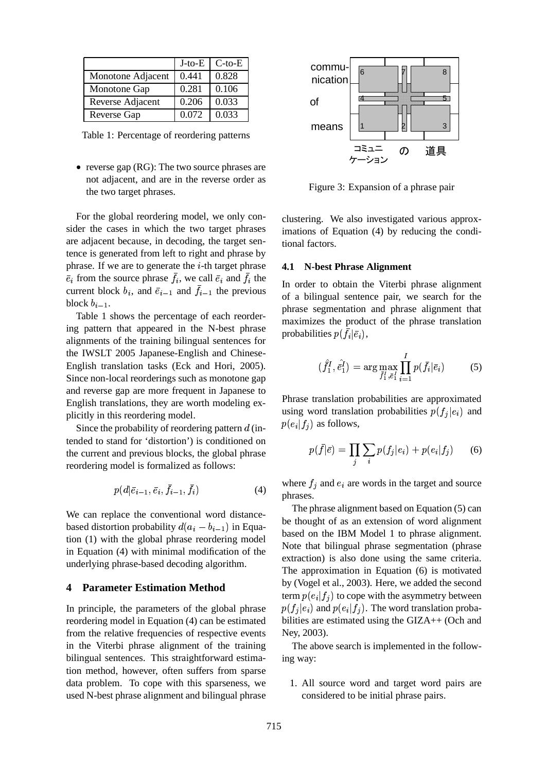|                   | $J$ -to- $E$ | $C$ -to- $E$ |
|-------------------|--------------|--------------|
| Monotone Adjacent | 0.441        | 0.828        |
| Monotone Gap      | 0.281        | 0.106        |
| Reverse Adjacent  | 0.206        | 0.033        |
| Reverse Gap       | 0.072        | 0.033        |

Table 1: Percentage of reordering patterns

• reverse gap (RG): The two source phrases are not adjacent, and are in the reverse order as the two target phrases.

For the global reordering model, we only consider the cases in which the two target phrases are adjacent because, in decoding, the target sentence is generated from left to right and phrase by phrase. If we are to generate the  $i$ -th target phrase *i* from the source phrase  $f_i$ , we call  $\bar{e}_i$  and  $f_i$  the current block  $b_i$ , and  $\bar{e}_{i-1}$  and  $f_{i-1}$  the previous block  $b_{i-1}$ .

Table 1 shows the percentage of each reordering pattern that appeared in the N-best phrase alignments of the training bilingual sentences for the IWSLT 2005 Japanese-English and Chinese-English translation tasks (Eck and Hori, 2005). Since non-local reorderings such as monotone gap and reverse gap are more frequent in Japanese to English translations, they are worth modeling explicitly in this reordering model.

Since the probability of reordering pattern  $d$  (intended to stand for 'distortion') is conditioned on the current and previous blocks, the global phrase reordering model is formalized as follows:

$$
p(d|\bar{e}_{i-1}, \bar{e}_i, \bar{f}_{i-1}, \bar{f}_i)
$$
\n
$$
\tag{4}
$$

We can replace the conventional word distancebased distortion probability  $d(a_i - b_{i-1})$  in Equation (1) with the global phrase reordering model in Equation (4) with minimal modification of the underlying phrase-based decoding algorithm.

#### **4 Parameter Estimation Method**

In principle, the parameters of the global phrase reordering model in Equation (4) can be estimated from the relative frequencies of respective events in the Viterbi phrase alignment of the training bilingual sentences. This straightforward estimation method, however, often suffers from sparse data problem. To cope with this sparseness, we used N-best phrase alignment and bilingual phrase



Figure 3: Expansion of a phrase pair

clustering. We also investigated various approximations of Equation (4) by reducing the conditional factors.

#### **4.1 N-best Phrase Alignment**

In order to obtain the Viterbi phrase alignment of a bilingual sentence pair, we search for the phrase segmentation and phrase alignment that maximizes the product of the phrase translation probabilities  $p(f_i | \bar{e}_i)$ ,

$$
(\hat{f}_1^I, \hat{e}_1^I) = \arg \max_{\bar{f}_1^I, \bar{e}_1^I} \prod_{i=1}^I p(\bar{f}_i | \bar{e}_i)
$$
 (5)

Phrase translation probabilities are approximated using word translation probabilities  $p(f_i|e_i)$  and  $p(e_i|f_i)$  as follows,

$$
p(\bar{f}|\bar{e}) = \prod_{j} \sum_{i} p(f_j|e_i) + p(e_i|f_j) \qquad (6)
$$

where  $f_i$  and  $e_i$  are words in the target and source phrases.

The phrase alignment based on Equation (5) can be thought of as an extension of word alignment based on the IBM Model 1 to phrase alignment. Note that bilingual phrase segmentation (phrase extraction) is also done using the same criteria. The approximation in Equation (6) is motivated by (Vogel et al., 2003). Here, we added the second term  $p(e_i|f_j)$  to cope with the asymmetry between  $p(f_i|e_i)$  and  $p(e_i|f_i)$ . The word translation probabilities are estimated using the GIZA++ (Och and Ney, 2003).

The above search is implemented in the following way:

1. All source word and target word pairs are considered to be initial phrase pairs.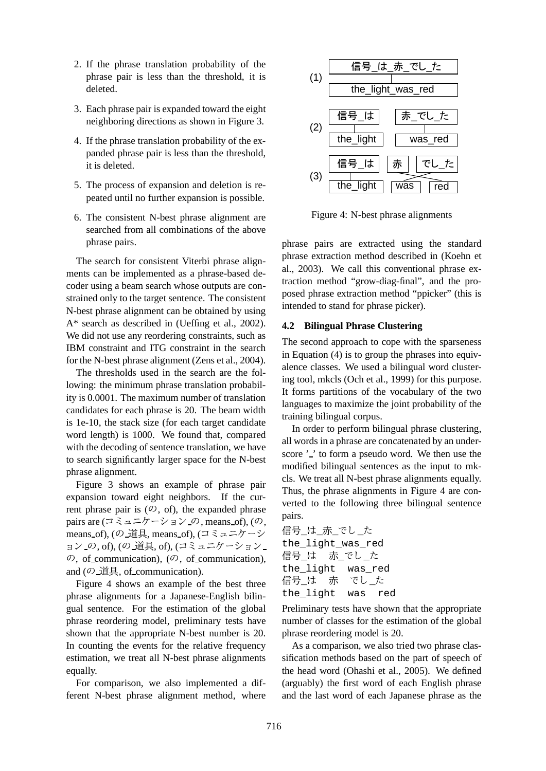- 2. If the phrase translation probability of the phrase pair is less than the threshold, it is deleted.
- 3. Each phrase pair is expanded toward the eight neighboring directions as shown in Figure 3.
- 4. If the phrase translation probability of the expanded phrase pair is less than the threshold, it is deleted.
- 5. The process of expansion and deletion is repeated until no further expansion is possible.
- 6. The consistent N-best phrase alignment are searched from all combinations of the above phrase pairs.

The search for consistent Viterbi phrase alignments can be implemented as a phrase-based decoder using a beam search whose outputs are constrained only to the target sentence. The consistent N-best phrase alignment can be obtained by using A\* search as described in (Ueffing et al., 2002). We did not use any reordering constraints, such as IBM constraint and ITG constraint in the search for the N-best phrase alignment (Zens et al., 2004).

The thresholds used in the search are the following: the minimum phrase translation probability is 0.0001. The maximum number of translation candidates for each phrase is 20. The beam width is 1e-10, the stack size (for each target candidate word length) is 1000. We found that, compared with the decoding of sentence translation, we have to search significantly larger space for the N-best phrase alignment.

Figure 3 shows an example of phrase pair expansion toward eight neighbors. If the current phrase pair is  $(0, 0, 0)$ , the expanded phrase pairs are (コミュニケーション\_の, means\_of), (の, means\_of), (の\_道具, means\_of), (コミュニケーシ <sup>信</sup> 亏\_レ┹\_亦 ョン\_の, of), (の\_道具, of), (コミュニケーション\_\_\_\_\_the\_11g  $\mathcal{D}$ , of communication), ( $\mathcal{D}$ , of communication), and  $(\mathcal{O}\_\mathbb{H}^1$ , of communication).

Figure 4 shows an example of the best three phrase alignments for a Japanese-English bilingual sentence. For the estimation of the global phrase reordering model, preliminary tests have shown that the appropriate N-best number is 20. In counting the events for the relative frequency estimation, we treat all N-best phrase alignments equally.

For comparison, we also implemented a different N-best phrase alignment method, where



Figure 4: N-best phrase alignments

phrase pairs are extracted using the standard phrase extraction method described in (Koehn et al., 2003). We call this conventional phrase extraction method "grow-diag-final", and the proposed phrase extraction method "ppicker" (this is intended to stand for phrase picker).

### **4.2 Bilingual Phrase Clustering**

The second approach to cope with the sparseness in Equation (4) is to group the phrases into equivalence classes. We used a bilingual word clustering tool, mkcls (Och et al., 1999) for this purpose. It forms partitions of the vocabulary of the two languages to maximize the joint probability of the training bilingual corpus.

In order to perform bilingual phrase clustering, all words in a phrase are concatenated by an underscore '.' to form a pseudo word. We then use the modified bilingual sentences as the input to mkcls. We treat all N-best phrase alignments equally. Thus, the phrase alignments in Figure 4 are converted to the following three bilingual sentence pairs.

信号\_は\_赤\_でし\_た the \_light\_was\_red 信号 は 赤 でし た the \_light was\_red 信号\_は 赤 でし\_た the\_light was red

Preliminary tests have shown that the appropriate number of classes for the estimation of the global phrase reordering model is 20.

As a comparison, we also tried two phrase classification methods based on the part of speech of the head word (Ohashi et al., 2005). We defined (arguably) the first word of each English phrase and the last word of each Japanese phrase as the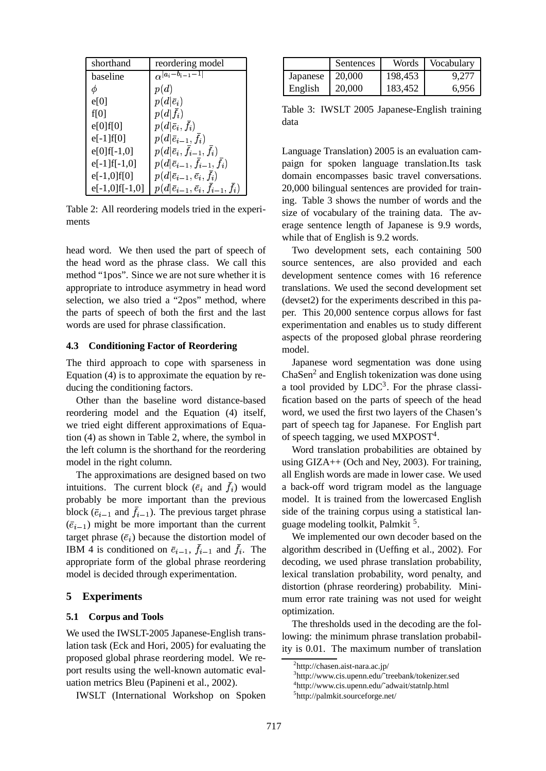| shorthand         | reordering model                               |
|-------------------|------------------------------------------------|
| baseline          | $\alpha  a_i-b_{i-1}-1 $                       |
| φ                 | p(d)                                           |
| e[0]              | $p(d \bar{e}_i)$                               |
| f[0]              | $p(d f_i)$                                     |
| e[0]f[0]          | $p(d \bar{e}_i, f_i)$                          |
| $e[-1]f[0]$       | $p(d \bar{e}_{i-1},f_i)$                       |
| $e[0]f[-1,0]$     | $p(d \bar{e}_i,\bar{f}_{i-1},f_i)$             |
| $e[-1]$ f[-1,0]   | $p(d \bar{e}_{i-1},\bar{f}_{i-1},\bar{f}_{i})$ |
| $e[-1,0]f[0]$     | $p(d \bar{e}_{i-1}, \bar{e}_i, f_i)$           |
| $e[-1,0]$ f[-1,0] | $p(d \bar{e}_{i-1}, \bar{e}_i, f_{i-1}, f_i)$  |

Table 2: All reordering models tried in the experiments

head word. We then used the part of speech of the head word as the phrase class. We call this method "1pos". Since we are not sure whether it is appropriate to introduce asymmetry in head word selection, we also tried a "2pos" method, where the parts of speech of both the first and the last words are used for phrase classification.

#### **4.3 Conditioning Factor of Reordering**

The third approach to cope with sparseness in Equation (4) is to approximate the equation by reducing the conditioning factors.

Other than the baseline word distance-based reordering model and the Equation (4) itself, we tried eight different approximations of Equation (4) as shown in Table 2, where, the symbol in the left column is the shorthand for the reordering model in the right column.

The approximations are designed based on two intuitions. The current block  $(\bar{e}_i$  and  $f_i)$  would probably be more important than the previous block ( $\bar{e}_{i-1}$  and  $f_{i-1}$ ). The previous target phrase  $(\bar{e}_{i-1})$  might be more important than the current target phrase  $(\bar{e}_i)$  because the distortion model of IBM 4 is conditioned on  $\bar{e}_{i-1}$ ,  $f_{i-1}$  and  $f_i$ . The appropriate form of the global phrase reordering model is decided through experimentation.

#### **5 Experiments**

## **5.1 Corpus and Tools**

We used the IWSLT-2005 Japanese-English translation task (Eck and Hori, 2005) for evaluating the proposed global phrase reordering model. We report results using the well-known automatic evaluation metrics Bleu (Papineni et al., 2002).

IWSLT (International Workshop on Spoken

|          | Sentences | Words   | Vocabulary |
|----------|-----------|---------|------------|
| Japanese | 20,000    | 198,453 | 9.277      |
| English  | 20,000    | 183,452 | 6.956      |

Table 3: IWSLT 2005 Japanese-English training data

Language Translation) 2005 is an evaluation campaign for spoken language translation.Its task domain encompasses basic travel conversations. 20,000 bilingual sentences are provided for training. Table 3 shows the number of words and the size of vocabulary of the training data. The average sentence length of Japanese is 9.9 words, while that of English is 9.2 words.

Two development sets, each containing 500 source sentences, are also provided and each development sentence comes with 16 reference translations. We used the second development set (devset2) for the experiments described in this paper. This 20,000 sentence corpus allows for fast experimentation and enables us to study different aspects of the proposed global phrase reordering model.

Japanese word segmentation was done using ChaSen<sup>2</sup> and English tokenization was done using a tool provided by  $LDC<sup>3</sup>$ . For the phrase classification based on the parts of speech of the head word, we used the first two layers of the Chasen's part of speech tag for Japanese. For English part of speech tagging, we used  $MXPOST<sup>4</sup>$ .

Word translation probabilities are obtained by using GIZA++ (Och and Ney, 2003). For training, all English words are made in lower case. We used a back-off word trigram model as the language model. It is trained from the lowercased English side of the training corpus using a statistical language modeling toolkit, Palmkit<sup>5</sup>.

We implemented our own decoder based on the algorithm described in (Ueffing et al., 2002). For decoding, we used phrase translation probability, lexical translation probability, word penalty, and distortion (phrase reordering) probability. Minimum error rate training was not used for weight optimization.

The thresholds used in the decoding are the following: the minimum phrase translation probability is 0.01. The maximum number of translation

<sup>2</sup> http://chasen.aist-nara.ac.jp/

<sup>3</sup> http://www.cis.upenn.edu/˜treebank/tokenizer.sed

<sup>4</sup> http://www.cis.upenn.edu/˜adwait/statnlp.html

<sup>5</sup> http://palmkit.sourceforge.net/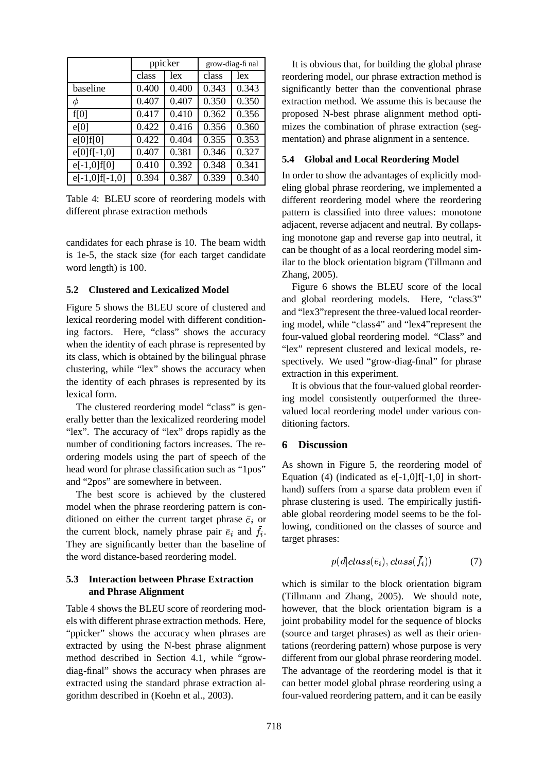|                   | ppicker |       | grow-diag-fi nal |       |
|-------------------|---------|-------|------------------|-------|
|                   | class   | lex   | class            | lex   |
| baseline          | 0.400   | 0.400 | 0.343            | 0.343 |
| φ                 | 0.407   | 0.407 | 0.350            | 0.350 |
| f[0]              | 0.417   | 0.410 | 0.362            | 0.356 |
| e[0]              | 0.422   | 0.416 | 0.356            | 0.360 |
| e[0]f[0]          | 0.422   | 0.404 | 0.355            | 0.353 |
| $e[0]$ f[-1,0]    | 0.407   | 0.381 | 0.346            | 0.327 |
| $e[-1,0]f[0]$     | 0.410   | 0.392 | 0.348            | 0.341 |
| $e[-1,0]$ f[-1,0] | 0.394   | 0.387 | 0.339            | 0.340 |

Table 4: BLEU score of reordering models with different phrase extraction methods

candidates for each phrase is 10. The beam width is 1e-5, the stack size (for each target candidate word length) is 100.

#### **5.2 Clustered and Lexicalized Model**

Figure 5 shows the BLEU score of clustered and lexical reordering model with different conditioning factors. Here, "class" shows the accuracy when the identity of each phrase is represented by its class, which is obtained by the bilingual phrase clustering, while "lex" shows the accuracy when the identity of each phrases is represented by its lexical form.

The clustered reordering model "class" is generally better than the lexicalized reordering model "lex". The accuracy of "lex" drops rapidly as the number of conditioning factors increases. The reordering models using the part of speech of the head word for phrase classification such as "1pos" and "2pos" are somewhere in between.

The best score is achieved by the clustered model when the phrase reordering pattern is conditioned on either the current target phrase  $\bar{e}_i$  or the current block, namely phrase pair  $\bar{e}_i$  and  $f_i$ . They are significantly better than the baseline of the word distance-based reordering model.

# **5.3 Interaction between Phrase Extraction and Phrase Alignment**

Table 4 shows the BLEU score of reordering models with different phrase extraction methods. Here, "ppicker" shows the accuracy when phrases are extracted by using the N-best phrase alignment method described in Section 4.1, while "growdiag-final" shows the accuracy when phrases are extracted using the standard phrase extraction algorithm described in (Koehn et al., 2003).

It is obvious that, for building the global phrase reordering model, our phrase extraction method is significantly better than the conventional phrase extraction method. We assume this is because the proposed N-best phrase alignment method optimizes the combination of phrase extraction (segmentation) and phrase alignment in a sentence.

# **5.4 Global and Local Reordering Model**

In order to show the advantages of explicitly modeling global phrase reordering, we implemented a different reordering model where the reordering pattern is classified into three values: monotone adjacent, reverse adjacent and neutral. By collapsing monotone gap and reverse gap into neutral, it can be thought of as a local reordering model similar to the block orientation bigram (Tillmann and Zhang, 2005).

Figure 6 shows the BLEU score of the local and global reordering models. Here, "class3" and "lex3"represent the three-valued local reordering model, while "class4" and "lex4"represent the four-valued global reordering model. "Class" and "lex" represent clustered and lexical models, respectively. We used "grow-diag-final" for phrase extraction in this experiment.

It is obvious that the four-valued global reordering model consistently outperformed the threevalued local reordering model under various conditioning factors.

# **6 Discussion**

As shown in Figure 5, the reordering model of Equation (4) (indicated as  $e[-1,0]$   $f[-1,0]$  in shorthand) suffers from a sparse data problem even if phrase clustering is used. The empirically justifiable global reordering model seems to be the following, conditioned on the classes of source and target phrases:

$$
p(d|class(\bar{e}_i), class(\bar{f}_i)) \qquad \qquad (7)
$$

which is similar to the block orientation bigram (Tillmann and Zhang, 2005). We should note, however, that the block orientation bigram is a joint probability model for the sequence of blocks (source and target phrases) as well as their orientations (reordering pattern) whose purpose is very different from our global phrase reordering model. The advantage of the reordering model is that it can better model global phrase reordering using a four-valued reordering pattern, and it can be easily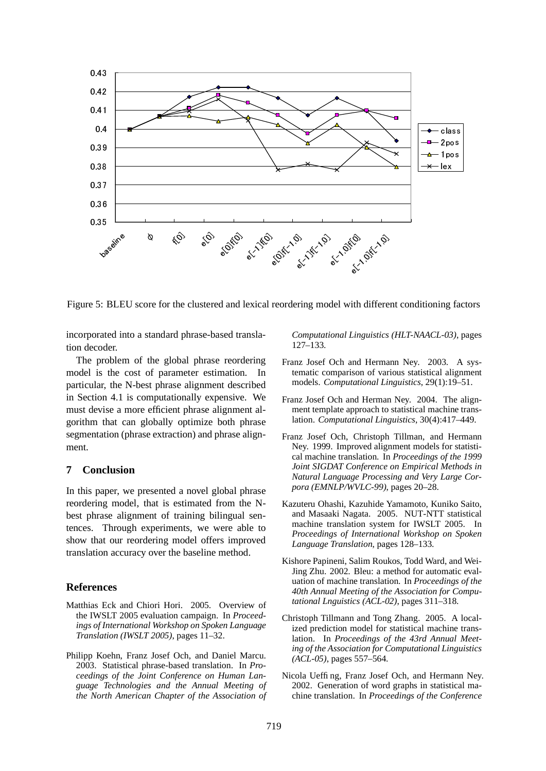

Figure 5: BLEU score for the clustered and lexical reordering model with different conditioning factors

incorporated into a standard phrase-based translation decoder.

The problem of the global phrase reordering model is the cost of parameter estimation. In particular, the N-best phrase alignment described in Section 4.1 is computationally expensive. We must devise a more efficient phrase alignment algorithm that can globally optimize both phrase segmentation (phrase extraction) and phrase alignment.

## **7 Conclusion**

In this paper, we presented a novel global phrase reordering model, that is estimated from the Nbest phrase alignment of training bilingual sentences. Through experiments, we were able to show that our reordering model offers improved translation accuracy over the baseline method.

#### **References**

- Matthias Eck and Chiori Hori. 2005. Overview of the IWSLT 2005 evaluation campaign. In *Proceedings of International Workshop on Spoken Language Translation (IWSLT 2005)*, pages 11–32.
- Philipp Koehn, Franz Josef Och, and Daniel Marcu. 2003. Statistical phrase-based translation. In *Proceedings of the Joint Conference on Human Language Technologies and the Annual Meeting of the North American Chapter of the Association of*

*Computational Linguistics (HLT-NAACL-03)*, pages 127–133.

- Franz Josef Och and Hermann Ney. 2003. A systematic comparison of various statistical alignment models. *Computational Linguistics*, 29(1):19–51.
- Franz Josef Och and Herman Ney. 2004. The alignment template approach to statistical machine translation. *Computational Linguistics*, 30(4):417–449.
- Franz Josef Och, Christoph Tillman, and Hermann Ney. 1999. Improved alignment models for statistical machine translation. In *Proceedings of the 1999 Joint SIGDAT Conference on Empirical Methods in Natural Language Processing and Very Large Corpora (EMNLP/WVLC-99)*, pages 20–28.
- Kazuteru Ohashi, Kazuhide Yamamoto, Kuniko Saito, and Masaaki Nagata. 2005. NUT-NTT statistical machine translation system for IWSLT 2005. In *Proceedings of International Workshop on Spoken Language Translation*, pages 128–133.
- Kishore Papineni, Salim Roukos, Todd Ward, and Wei-Jing Zhu. 2002. Bleu: a method for automatic evaluation of machine translation. In *Proceedings of the 40th Annual Meeting of the Association for Computational Lnguistics (ACL-02)*, pages 311–318.
- Christoph Tillmann and Tong Zhang. 2005. A localized prediction model for statistical machine translation. In *Proceedings of the 43rd Annual Meeting of the Association for Computational Linguistics (ACL-05)*, pages 557–564.
- Nicola Ueffing, Franz Josef Och, and Hermann Ney. 2002. Generation of word graphs in statistical machine translation. In *Proceedings of the Conference*